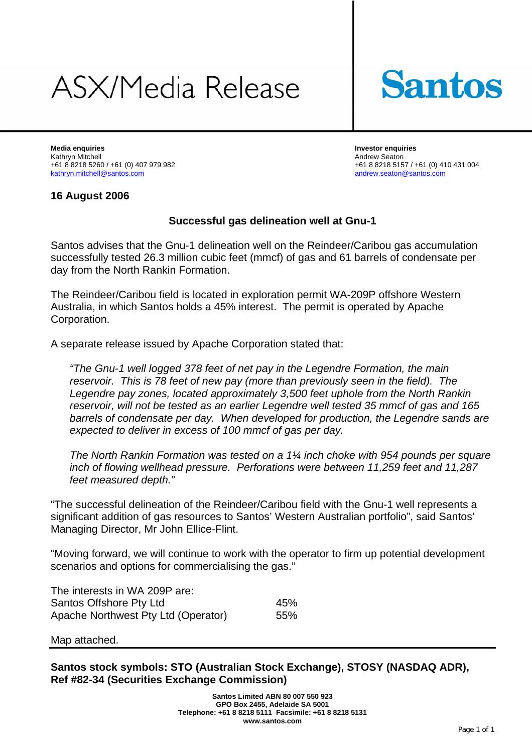# ASX/Media Release



**Media enquiries Investor enquiries**  Kathryn Mitchell **Andrew Seaton** Andrew Seaton kathryn.mitchell@santos.com andrew.seaton@santos.com

+61 8 8218 5260 / +61 (0) 407 979 982 +61 8 8218 5157 / +61 (0) 410 431 004

## **16 August 2006**

## **Successful gas delineation well at Gnu-1**

Santos advises that the Gnu-1 delineation well on the Reindeer/Caribou gas accumulation successfully tested 26.3 million cubic feet (mmcf) of gas and 61 barrels of condensate per day from the North Rankin Formation.

The Reindeer/Caribou field is located in exploration permit WA-209P offshore Western Australia, in which Santos holds a 45% interest. The permit is operated by Apache Corporation.

A separate release issued by Apache Corporation stated that:

*"The Gnu-1 well logged 378 feet of net pay in the Legendre Formation, the main reservoir. This is 78 feet of new pay (more than previously seen in the field). The Legendre pay zones, located approximately 3,500 feet uphole from the North Rankin reservoir, will not be tested as an earlier Legendre well tested 35 mmcf of gas and 165 barrels of condensate per day. When developed for production, the Legendre sands are expected to deliver in excess of 100 mmcf of gas per day.* 

*The North Rankin Formation was tested on a 1¼ inch choke with 954 pounds per square inch of flowing wellhead pressure. Perforations were between 11,259 feet and 11,287 feet measured depth."* 

"The successful delineation of the Reindeer/Caribou field with the Gnu-1 well represents a significant addition of gas resources to Santos' Western Australian portfolio", said Santos' Managing Director, Mr John Ellice-Flint.

"Moving forward, we will continue to work with the operator to firm up potential development scenarios and options for commercialising the gas."

| The interests in WA 209P are:       |     |
|-------------------------------------|-----|
| Santos Offshore Pty Ltd             | 45% |
| Apache Northwest Pty Ltd (Operator) | 55% |

#### Map attached.

**Santos stock symbols: STO (Australian Stock Exchange), STOSY (NASDAQ ADR), Ref #82-34 (Securities Exchange Commission)**